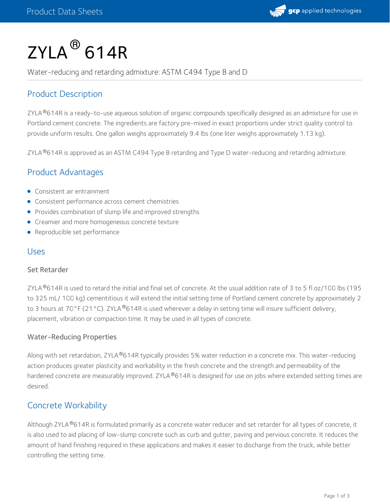

# $\mathsf{ZYLA}^{\circledR}$  614R

Water-reducing and retarding admixture: ASTM C494 Type B and D

# Product Description

ZYLA ®614R is a ready-to-use aqueous solution of organic compounds specifically designed as an admixture for use in Portland cement concrete. The ingredients are factory pre-mixed in exact proportions under strict quality control to provide uniform results. One gallon weighs approximately 9.4 lbs (one liter weighs approximately 1.13 kg).

ZYLA  $^{\circ}$ 614R is approved as an ASTM C494 Type B retarding and Type D water-reducing and retarding admixture.

# Product Advantages

- Consistent air entrainment
- **•** Consistent performance across cement chemistries
- Provides combination of slump life and improved strengths
- **•** Creamier and more homogeneous concrete texture
- Reproducible set performance

## Uses

### Set Retarder

ZYLA $^{\circ}$ 614R is used to retard the initial and final set of concrete. At the usual addition rate of 3 to 5 fl oz/100 lbs (195 to 325 mL/ 100 kg) cementitious it will extend the initial setting time of Portland cement concrete by approximately 2 to 3 hours at 70°F (21°C). ZYLA®614R is used wherever a delay in setting time will insure sufficient delivery, placement, vibration or compaction time. It may be used in all types of concrete.

### Water-Reducing Properties

Along with set retardation, ZYLA®614R typically provides 5% water reduction in a concrete mix. This water-reducing action produces greater plasticity and workability in the fresh concrete and the strength and permeability of the hardened concrete are measurably improved. ZYLA®614R is designed for use on jobs where extended setting times are desired.

## Concrete Workability

Although ZYLA®614R is formulated primarily as a concrete water reducer and set retarder for all types of concrete, it is also used to aid placing of low-slump concrete such as curb and gutter, paving and pervious concrete. It reduces the amount of hand finishing required in these applications and makes it easier to discharge from the truck, while better controlling the setting time.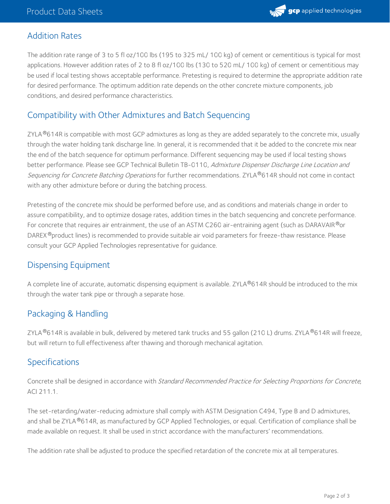# Addition Rates

The addition rate range of 3 to 5 fl oz/100 lbs (195 to 325 mL/ 100 kg) of cement or cementitious is typical for most applications. However addition rates of 2 to 8 fl oz/100 lbs (130 to 520 mL/ 100 kg) of cement or cementitious may be used if local testing shows acceptable performance. Pretesting is required to determine the appropriate addition rate for desired performance. The optimum addition rate depends on the other concrete mixture components, job conditions, and desired performance characteristics.

# Compatibility with Other Admixtures and Batch Sequencing

ZYLA $^{\circledR}$ 614R is compatible with most GCP admixtures as long as they are added separately to the concrete mix, usually through the water holding tank discharge line. In general, it is recommended that it be added to the concrete mix near the end of the batch sequence for optimum performance. Different sequencing may be used if local testing shows better performance. Please see GCP Technical Bulletin TB-0110, Admixture Dispenser Discharge Line Location and *Sequencing for Concrete Batching Operations* for further recommendations. ZYLA®614R should not come in contact with any other admixture before or during the batching process.

Pretesting of the concrete mix should be performed before use, and as conditions and materials change in order to assure compatibility, and to optimize dosage rates, addition times in the batch sequencing and concrete performance. For concrete that requires air entrainment, the use of an ASTM C260 air-entraining agent (such as DARAVAIR $^\circled*$ or DAREX®product lines) is recommended to provide suitable air void parameters for freeze-thaw resistance. Please consult your GCP Applied Technologies representative for guidance.

# Dispensing Equipment

A complete line of accurate, automatic dispensing equipment is available. ZYLA®614R should be introduced to the mix through the water tank pipe or through a separate hose.

# Packaging & Handling

ZYLA $^{\circledR}$ 614R is available in bulk, delivered by metered tank trucks and 55 gallon (210 L) drums. ZYLA $^{\circledR}$ 614R will freeze, but will return to full effectiveness after thawing and thorough mechanical agitation.

# Specifications

Concrete shall be designed in accordance with Standard Recommended Practice for Selecting Proportions for Concrete, ACI 211.1.

The set-retarding/water-reducing admixture shall comply with ASTM Designation C494, Type B and D admixtures, and shall be ZYLA®614R, as manufactured by GCP Applied Technologies, or equal. Certification of compliance shall be made available on request. It shall be used in strict accordance with the manufacturers' recommendations.

The addition rate shall be adjusted to produce the specified retardation of the concrete mix at all temperatures.